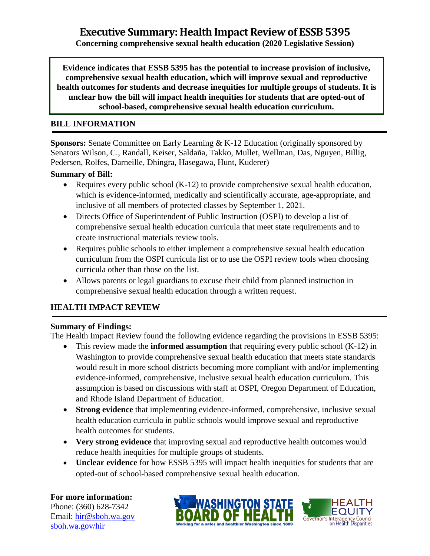**Concerning comprehensive sexual health education (2020 Legislative Session)**

**Evidence indicates that ESSB 5395 has the potential to increase provision of inclusive, comprehensive sexual health education, which will improve sexual and reproductive health outcomes for students and decrease inequities for multiple groups of students. It is unclear how the bill will impact health inequities for students that are opted-out of school-based, comprehensive sexual health education curriculum.** 

### **BILL INFORMATION**

**Sponsors:** Senate Committee on Early Learning & K-12 Education (originally sponsored by Senators Wilson, C., Randall, Keiser, Saldaña, Takko, Mullet, Wellman, Das, Nguyen, Billig, Pedersen, Rolfes, Darneille, Dhingra, Hasegawa, Hunt, Kuderer)

#### **Summary of Bill:**

- Requires every public school (K-12) to provide comprehensive sexual health education, which is evidence-informed, medically and scientifically accurate, age-appropriate, and inclusive of all members of protected classes by September 1, 2021.
- Directs Office of Superintendent of Public Instruction (OSPI) to develop a list of comprehensive sexual health education curricula that meet state requirements and to create instructional materials review tools.
- Requires public schools to either implement a comprehensive sexual health education curriculum from the OSPI curricula list or to use the OSPI review tools when choosing curricula other than those on the list.
- Allows parents or legal guardians to excuse their child from planned instruction in comprehensive sexual health education through a written request.

### **HEALTH IMPACT REVIEW**

### **Summary of Findings:**

The Health Impact Review found the following evidence regarding the provisions in ESSB 5395:

- This review made the **informed assumption** that requiring every public school (K-12) in Washington to provide comprehensive sexual health education that meets state standards would result in more school districts becoming more compliant with and/or implementing evidence-informed, comprehensive, inclusive sexual health education curriculum. This assumption is based on discussions with staff at OSPI, Oregon Department of Education, and Rhode Island Department of Education.
- **Strong evidence** that implementing evidence-informed, comprehensive, inclusive sexual health education curricula in public schools would improve sexual and reproductive health outcomes for students.
- **Very strong evidence** that improving sexual and reproductive health outcomes would reduce health inequities for multiple groups of students.
- **Unclear evidence** for how ESSB 5395 will impact health inequities for students that are opted-out of school-based comprehensive sexual health education.

# **For more information:**

Phone: (360) 628-7342 Email: [hir@sboh.wa.gov](mailto:hir@sboh.wa.gov) [sboh.wa.gov/](http://sboh.wa.gov/)hir